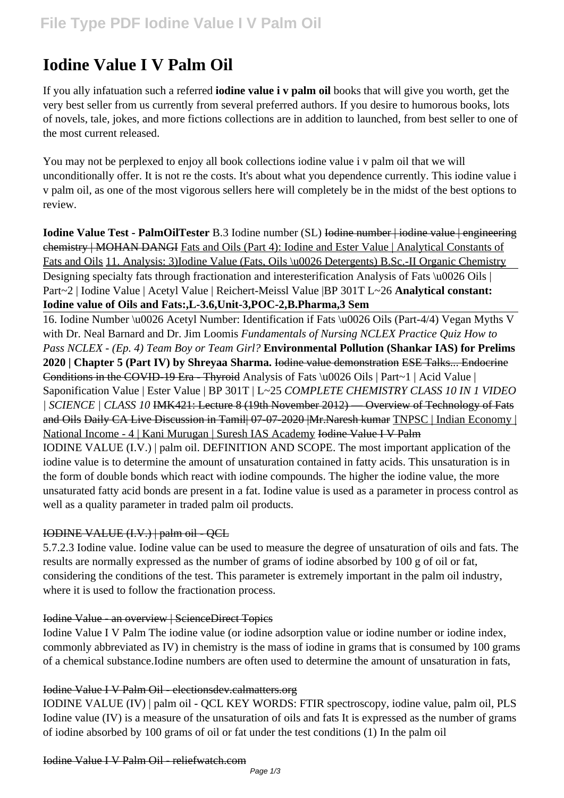# **Iodine Value I V Palm Oil**

If you ally infatuation such a referred **iodine value i v palm oil** books that will give you worth, get the very best seller from us currently from several preferred authors. If you desire to humorous books, lots of novels, tale, jokes, and more fictions collections are in addition to launched, from best seller to one of the most current released.

You may not be perplexed to enjoy all book collections iodine value i v palm oil that we will unconditionally offer. It is not re the costs. It's about what you dependence currently. This iodine value i v palm oil, as one of the most vigorous sellers here will completely be in the midst of the best options to review.

**Iodine Value Test - PalmOilTester** B.3 Iodine number (SL) Iodine number | iodine value | engineering chemistry | MOHAN DANGI Fats and Oils (Part 4): Iodine and Ester Value | Analytical Constants of Fats and Oils 11. Analysis: 3)Iodine Value (Fats, Oils \u0026 Detergents) B.Sc.-II Organic Chemistry Designing specialty fats through fractionation and interesterification Analysis of Fats \u0026 Oils | Part~2 | Iodine Value | Acetyl Value | Reichert-Meissl Value |BP 301T L~26 **Analytical constant: Iodine value of Oils and Fats:,L-3.6,Unit-3,POC-2,B.Pharma,3 Sem**

16. Iodine Number \u0026 Acetyl Number: Identification if Fats \u0026 Oils (Part-4/4) Vegan Myths V with Dr. Neal Barnard and Dr. Jim Loomis *Fundamentals of Nursing NCLEX Practice Quiz How to Pass NCLEX - (Ep. 4) Team Boy or Team Girl?* **Environmental Pollution (Shankar IAS) for Prelims 2020 | Chapter 5 (Part IV) by Shreyaa Sharma.** Iodine value demonstration ESE Talks... Endocrine Conditions in the COVID-19 Era - Thyroid Analysis of Fats \u0026 Oils | Part~1 | Acid Value | Saponification Value | Ester Value | BP 301T | L~25 *COMPLETE CHEMISTRY CLASS 10 IN 1 VIDEO | SCIENCE | CLASS 10* IMK421: Lecture 8 (19th November 2012) — Overview of Technology of Fats and Oils Daily CA Live Discussion in Tamil| 07-07-2020 | Mr. Naresh kumar TNPSC | Indian Economy | National Income - 4 | Kani Murugan | Suresh IAS Academy Iodine Value I V Palm IODINE VALUE (I.V.) | palm oil. DEFINITION AND SCOPE. The most important application of the iodine value is to determine the amount of unsaturation contained in fatty acids. This unsaturation is in the form of double bonds which react with iodine compounds. The higher the iodine value, the more unsaturated fatty acid bonds are present in a fat. Iodine value is used as a parameter in process control as well as a quality parameter in traded palm oil products.

## IODINE VALUE (I.V.) | palm oil - QCL

5.7.2.3 Iodine value. Iodine value can be used to measure the degree of unsaturation of oils and fats. The results are normally expressed as the number of grams of iodine absorbed by 100 g of oil or fat, considering the conditions of the test. This parameter is extremely important in the palm oil industry, where it is used to follow the fractionation process.

## Iodine Value - an overview | ScienceDirect Topics

Iodine Value I V Palm The iodine value (or iodine adsorption value or iodine number or iodine index, commonly abbreviated as IV) in chemistry is the mass of iodine in grams that is consumed by 100 grams of a chemical substance.Iodine numbers are often used to determine the amount of unsaturation in fats,

## Iodine Value I V Palm Oil - electionsdev.calmatters.org

IODINE VALUE (IV) | palm oil - QCL KEY WORDS: FTIR spectroscopy, iodine value, palm oil, PLS Iodine value (IV) is a measure of the unsaturation of oils and fats It is expressed as the number of grams of iodine absorbed by 100 grams of oil or fat under the test conditions (1) In the palm oil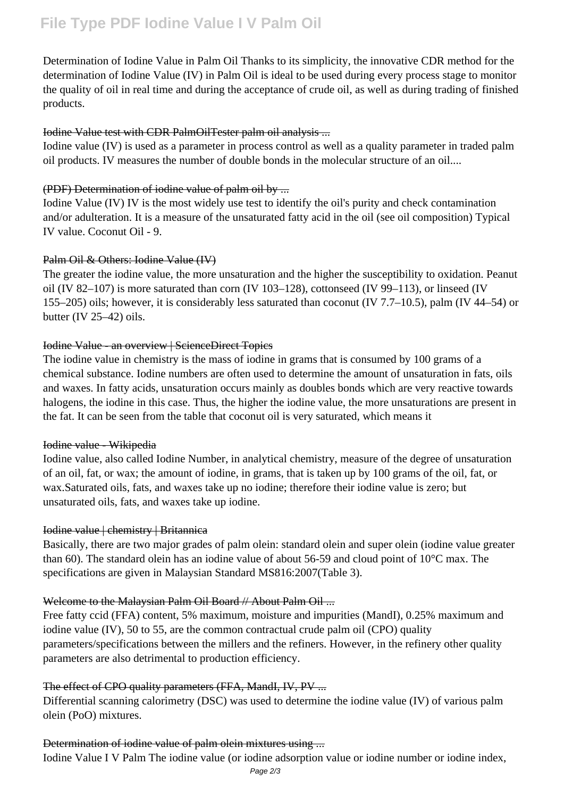Determination of Iodine Value in Palm Oil Thanks to its simplicity, the innovative CDR method for the determination of Iodine Value (IV) in Palm Oil is ideal to be used during every process stage to monitor the quality of oil in real time and during the acceptance of crude oil, as well as during trading of finished products.

#### Iodine Value test with CDR PalmOilTester palm oil analysis ...

Iodine value (IV) is used as a parameter in process control as well as a quality parameter in traded palm oil products. IV measures the number of double bonds in the molecular structure of an oil....

#### (PDF) Determination of iodine value of palm oil by ...

Iodine Value (IV) IV is the most widely use test to identify the oil's purity and check contamination and/or adulteration. It is a measure of the unsaturated fatty acid in the oil (see oil composition) Typical IV value. Coconut Oil - 9.

## Palm Oil & Others: Iodine Value (IV)

The greater the iodine value, the more unsaturation and the higher the susceptibility to oxidation. Peanut oil (IV 82–107) is more saturated than corn (IV 103–128), cottonseed (IV 99–113), or linseed (IV 155–205) oils; however, it is considerably less saturated than coconut (IV 7.7–10.5), palm (IV 44–54) or butter (IV 25–42) oils.

#### Iodine Value - an overview | ScienceDirect Topics

The iodine value in chemistry is the mass of iodine in grams that is consumed by 100 grams of a chemical substance. Iodine numbers are often used to determine the amount of unsaturation in fats, oils and waxes. In fatty acids, unsaturation occurs mainly as doubles bonds which are very reactive towards halogens, the iodine in this case. Thus, the higher the iodine value, the more unsaturations are present in the fat. It can be seen from the table that coconut oil is very saturated, which means it

#### Iodine value - Wikipedia

Iodine value, also called Iodine Number, in analytical chemistry, measure of the degree of unsaturation of an oil, fat, or wax; the amount of iodine, in grams, that is taken up by 100 grams of the oil, fat, or wax.Saturated oils, fats, and waxes take up no iodine; therefore their iodine value is zero; but unsaturated oils, fats, and waxes take up iodine.

## Iodine value | chemistry | Britannica

Basically, there are two major grades of palm olein: standard olein and super olein (iodine value greater than 60). The standard olein has an iodine value of about 56-59 and cloud point of 10°C max. The specifications are given in Malaysian Standard MS816:2007(Table 3).

## Welcome to the Malaysian Palm Oil Board // About Palm Oil ...

Free fatty ccid (FFA) content, 5% maximum, moisture and impurities (MandI), 0.25% maximum and iodine value (IV), 50 to 55, are the common contractual crude palm oil (CPO) quality parameters/specifications between the millers and the refiners. However, in the refinery other quality parameters are also detrimental to production efficiency.

## The effect of CPO quality parameters (FFA, MandI, IV, PV ...

Differential scanning calorimetry (DSC) was used to determine the iodine value (IV) of various palm olein (PoO) mixtures.

#### Determination of iodine value of palm olein mixtures using ...

Iodine Value I V Palm The iodine value (or iodine adsorption value or iodine number or iodine index,